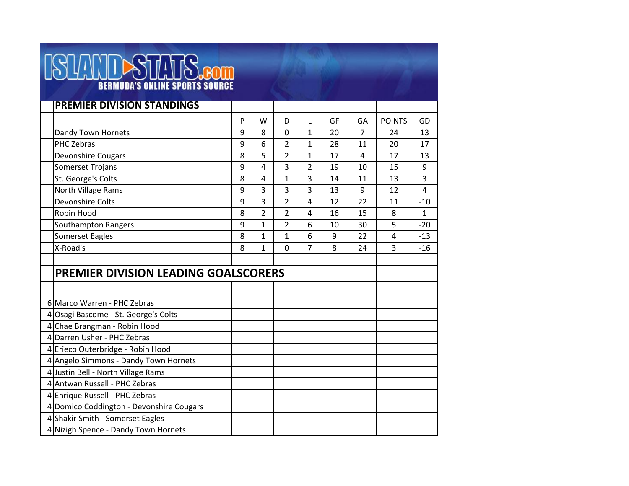## **ISLANDSTATS.com**

| <b>PREMIER DIVISION STANDINGS</b>           |   |                |                |                |    |                |               |              |
|---------------------------------------------|---|----------------|----------------|----------------|----|----------------|---------------|--------------|
|                                             | P | W              | D              | L              | GF | GA             | <b>POINTS</b> | GD           |
| Dandy Town Hornets                          | 9 | 8              | $\overline{0}$ | $\mathbf{1}$   | 20 | $\overline{7}$ | 24            | 13           |
| <b>PHC Zebras</b>                           | 9 | 6              | $\overline{2}$ | 1              | 28 | 11             | 20            | 17           |
| <b>Devonshire Cougars</b>                   | 8 | 5              | $\overline{2}$ | 1              | 17 | 4              | 17            | 13           |
| <b>Somerset Trojans</b>                     | 9 | 4              | 3              | 2              | 19 | 10             | 15            | 9            |
| St. George's Colts                          | 8 | 4              | $\mathbf{1}$   | 3              | 14 | 11             | 13            | 3            |
| North Village Rams                          | 9 | 3              | 3              | 3              | 13 | 9              | 12            | 4            |
| <b>Devonshire Colts</b>                     | 9 | 3              | $\overline{2}$ | $\overline{4}$ | 12 | 22             | 11            | $-10$        |
| Robin Hood                                  | 8 | $\overline{2}$ | $\overline{2}$ | 4              | 16 | 15             | 8             | $\mathbf{1}$ |
| Southampton Rangers                         | 9 | 1              | $\overline{2}$ | 6              | 10 | 30             | 5             | $-20$        |
| Somerset Eagles                             | 8 | 1              | $\mathbf{1}$   | 6              | 9  | 22             | 4             | $-13$        |
| X-Road's                                    | 8 | $\mathbf{1}$   | $\overline{0}$ | $\overline{7}$ | 8  | 24             | 3             | $-16$        |
|                                             |   |                |                |                |    |                |               |              |
| <b>PREMIER DIVISION LEADING GOALSCORERS</b> |   |                |                |                |    |                |               |              |
|                                             |   |                |                |                |    |                |               |              |
| 6 Marco Warren - PHC Zebras                 |   |                |                |                |    |                |               |              |
| 4 Osagi Bascome - St. George's Colts        |   |                |                |                |    |                |               |              |
| 4 Chae Brangman - Robin Hood                |   |                |                |                |    |                |               |              |
| 4 Darren Usher - PHC Zebras                 |   |                |                |                |    |                |               |              |
| 4 Erieco Outerbridge - Robin Hood           |   |                |                |                |    |                |               |              |
| 4 Angelo Simmons - Dandy Town Hornets       |   |                |                |                |    |                |               |              |
| 4 Justin Bell - North Village Rams          |   |                |                |                |    |                |               |              |
| 4 Antwan Russell - PHC Zebras               |   |                |                |                |    |                |               |              |
| 4 Enrique Russell - PHC Zebras              |   |                |                |                |    |                |               |              |
| 4 Domico Coddington - Devonshire Cougars    |   |                |                |                |    |                |               |              |
| 4 Shakir Smith - Somerset Eagles            |   |                |                |                |    |                |               |              |
| 4 Nizigh Spence - Dandy Town Hornets        |   |                |                |                |    |                |               |              |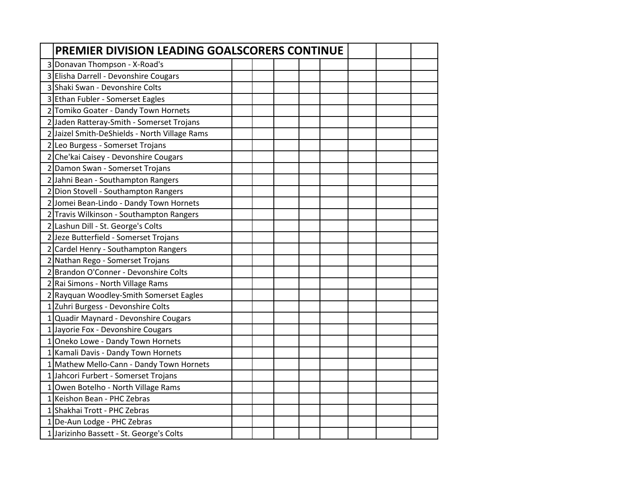| PREMIER DIVISION LEADING GOALSCORERS CONTINUE |  |  |  |  |  |
|-----------------------------------------------|--|--|--|--|--|
| 3 Donavan Thompson - X-Road's                 |  |  |  |  |  |
| 3 Elisha Darrell - Devonshire Cougars         |  |  |  |  |  |
| 3 Shaki Swan - Devonshire Colts               |  |  |  |  |  |
| 3 Ethan Fubler - Somerset Eagles              |  |  |  |  |  |
| 2 Tomiko Goater - Dandy Town Hornets          |  |  |  |  |  |
| 2 Jaden Ratteray-Smith - Somerset Trojans     |  |  |  |  |  |
| 2 Jaizel Smith-DeShields - North Village Rams |  |  |  |  |  |
| 2 Leo Burgess - Somerset Trojans              |  |  |  |  |  |
| 2 Che'kai Caisey - Devonshire Cougars         |  |  |  |  |  |
| 2 Damon Swan - Somerset Trojans               |  |  |  |  |  |
| 2 Jahni Bean - Southampton Rangers            |  |  |  |  |  |
| 2 Dion Stovell - Southampton Rangers          |  |  |  |  |  |
| 2 Jomei Bean-Lindo - Dandy Town Hornets       |  |  |  |  |  |
| 2 Travis Wilkinson - Southampton Rangers      |  |  |  |  |  |
| 2 Lashun Dill - St. George's Colts            |  |  |  |  |  |
| 2 Jeze Butterfield - Somerset Trojans         |  |  |  |  |  |
| 2 Cardel Henry - Southampton Rangers          |  |  |  |  |  |
| 2 Nathan Rego - Somerset Trojans              |  |  |  |  |  |
| 2 Brandon O'Conner - Devonshire Colts         |  |  |  |  |  |
| 2 Rai Simons - North Village Rams             |  |  |  |  |  |
| 2 Rayquan Woodley-Smith Somerset Eagles       |  |  |  |  |  |
| 1 Zuhri Burgess - Devonshire Colts            |  |  |  |  |  |
| 1 Quadir Maynard - Devonshire Cougars         |  |  |  |  |  |
| 1 Jayorie Fox - Devonshire Cougars            |  |  |  |  |  |
| 1 Oneko Lowe - Dandy Town Hornets             |  |  |  |  |  |
| 1 Kamali Davis - Dandy Town Hornets           |  |  |  |  |  |
| 1 Mathew Mello-Cann - Dandy Town Hornets      |  |  |  |  |  |
| 1 Jahcori Furbert - Somerset Trojans          |  |  |  |  |  |
| 1 Owen Botelho - North Village Rams           |  |  |  |  |  |
| 1 Keishon Bean - PHC Zebras                   |  |  |  |  |  |
| 1 Shakhai Trott - PHC Zebras                  |  |  |  |  |  |
| 1 De-Aun Lodge - PHC Zebras                   |  |  |  |  |  |
| 1 Jarizinho Bassett - St. George's Colts      |  |  |  |  |  |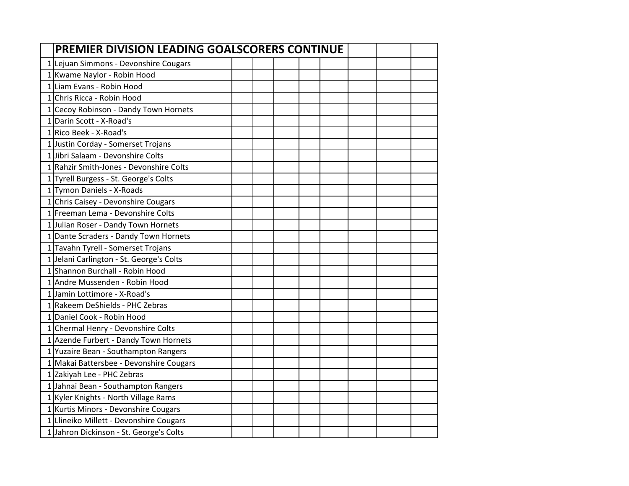| PREMIER DIVISION LEADING GOALSCORERS CONTINUE |  |  |  |  |
|-----------------------------------------------|--|--|--|--|
| 1 Lejuan Simmons - Devonshire Cougars         |  |  |  |  |
| 1 Kwame Naylor - Robin Hood                   |  |  |  |  |
| 1 Liam Evans - Robin Hood                     |  |  |  |  |
| 1 Chris Ricca - Robin Hood                    |  |  |  |  |
| 1 Cecoy Robinson - Dandy Town Hornets         |  |  |  |  |
| 1 Darin Scott - X-Road's                      |  |  |  |  |
| 1 Rico Beek - X-Road's                        |  |  |  |  |
| 1 Justin Corday - Somerset Trojans            |  |  |  |  |
| 1 Jibri Salaam - Devonshire Colts             |  |  |  |  |
| 1 Rahzir Smith-Jones - Devonshire Colts       |  |  |  |  |
| 1 Tyrell Burgess - St. George's Colts         |  |  |  |  |
| 1 Tymon Daniels - X-Roads                     |  |  |  |  |
| 1 Chris Caisey - Devonshire Cougars           |  |  |  |  |
| 1 Freeman Lema - Devonshire Colts             |  |  |  |  |
| 1 Julian Roser - Dandy Town Hornets           |  |  |  |  |
| 1 Dante Scraders - Dandy Town Hornets         |  |  |  |  |
| 1 Tavahn Tyrell - Somerset Trojans            |  |  |  |  |
| 1 Jelani Carlington - St. George's Colts      |  |  |  |  |
| 1 Shannon Burchall - Robin Hood               |  |  |  |  |
| 1 Andre Mussenden - Robin Hood                |  |  |  |  |
| 1 Jamin Lottimore - X-Road's                  |  |  |  |  |
| 1 Rakeem DeShields - PHC Zebras               |  |  |  |  |
| 1 Daniel Cook - Robin Hood                    |  |  |  |  |
| 1 Chermal Henry - Devonshire Colts            |  |  |  |  |
| 1 Azende Furbert - Dandy Town Hornets         |  |  |  |  |
| 1 Yuzaire Bean - Southampton Rangers          |  |  |  |  |
| 1 Makai Battersbee - Devonshire Cougars       |  |  |  |  |
| 1 Zakiyah Lee - PHC Zebras                    |  |  |  |  |
| 1 Jahnai Bean - Southampton Rangers           |  |  |  |  |
| 1 Kyler Knights - North Village Rams          |  |  |  |  |
| 1 Kurtis Minors - Devonshire Cougars          |  |  |  |  |
| 1 Llineiko Millett - Devonshire Cougars       |  |  |  |  |
| 1 Jahron Dickinson - St. George's Colts       |  |  |  |  |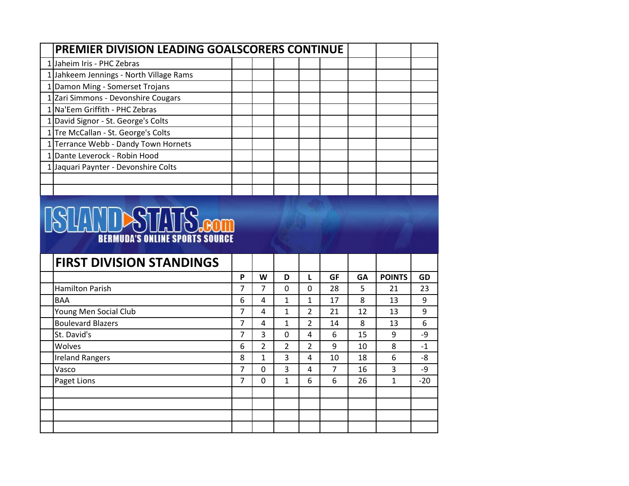| <b>PREMIER DIVISION LEADING GOALSCORERS CONTINUE</b> |  |  |  |  |  |
|------------------------------------------------------|--|--|--|--|--|
| Jaheim Iris - PHC Zebras                             |  |  |  |  |  |
| 1 Jahkeem Jennings - North Village Rams              |  |  |  |  |  |
| Damon Ming - Somerset Trojans                        |  |  |  |  |  |
| Zari Simmons - Devonshire Cougars                    |  |  |  |  |  |
| 1 Na'Eem Griffith - PHC Zebras                       |  |  |  |  |  |
| 1 David Signor - St. George's Colts                  |  |  |  |  |  |
| 1 Tre McCallan - St. George's Colts                  |  |  |  |  |  |
| Terrance Webb - Dandy Town Hornets                   |  |  |  |  |  |
| Dante Leverock - Robin Hood                          |  |  |  |  |  |
| Jaquari Paynter - Devonshire Colts                   |  |  |  |  |  |
|                                                      |  |  |  |  |  |
|                                                      |  |  |  |  |  |



| <b>FIRST DIVISION STANDINGS</b> |   |                |               |                |           |           |               |       |
|---------------------------------|---|----------------|---------------|----------------|-----------|-----------|---------------|-------|
|                                 | P | W              | D             |                | <b>GF</b> | <b>GA</b> | <b>POINTS</b> | GD    |
| Hamilton Parish                 | 7 | 7              | 0             | 0              | 28        | 5         | 21            | 23    |
| <b>BAA</b>                      | 6 | 4              | 1             | $\mathbf{1}$   | 17        | 8         | 13            | 9     |
| Young Men Social Club           | 7 | 4              | 1             | $\overline{2}$ | 21        | 12        | 13            | 9     |
| <b>Boulevard Blazers</b>        | 7 | 4              | 1             | $\overline{2}$ | 14        | 8         | 13            | 6     |
| St. David's                     | 7 | 3              | $\Omega$      | 4              | 6         | 15        | 9             | -9    |
| Wolves                          | 6 | $\overline{2}$ | $\mathcal{P}$ | $\mathcal{P}$  | 9         | 10        | 8             | $-1$  |
| <b>Ireland Rangers</b>          | 8 | $\mathbf{1}$   | 3             | 4              | 10        | 18        | 6             | -8    |
| Vasco                           | 7 | 0              | 3             | 4              | 7         | 16        | 3             | -9    |
| Paget Lions                     | 7 | 0              | 1             | 6              | 6         | 26        | 1             | $-20$ |
|                                 |   |                |               |                |           |           |               |       |
|                                 |   |                |               |                |           |           |               |       |
|                                 |   |                |               |                |           |           |               |       |
|                                 |   |                |               |                |           |           |               |       |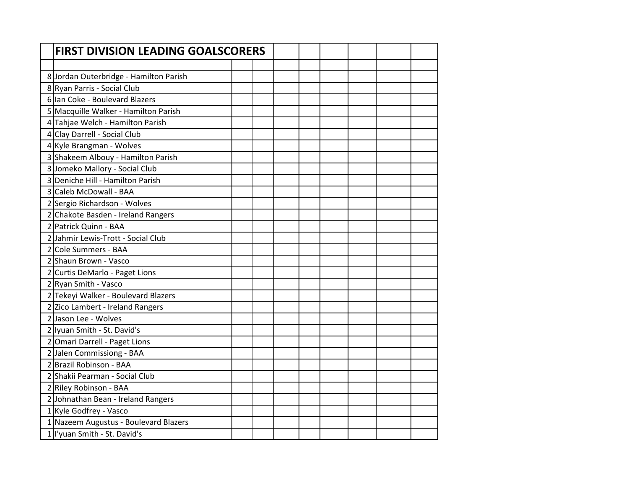| <b>FIRST DIVISION LEADING GOALSCORERS</b> |  |  |  |  |
|-------------------------------------------|--|--|--|--|
|                                           |  |  |  |  |
| 8 Jordan Outerbridge - Hamilton Parish    |  |  |  |  |
| 8 Ryan Parris - Social Club               |  |  |  |  |
| 6 Ian Coke - Boulevard Blazers            |  |  |  |  |
| 5 Macquille Walker - Hamilton Parish      |  |  |  |  |
| 4 Tahjae Welch - Hamilton Parish          |  |  |  |  |
| 4 Clay Darrell - Social Club              |  |  |  |  |
| 4 Kyle Brangman - Wolves                  |  |  |  |  |
| 3 Shakeem Albouy - Hamilton Parish        |  |  |  |  |
| 3 Jomeko Mallory - Social Club            |  |  |  |  |
| 3 Deniche Hill - Hamilton Parish          |  |  |  |  |
| 3 Caleb McDowall - BAA                    |  |  |  |  |
| 2 Sergio Richardson - Wolves              |  |  |  |  |
| 2 Chakote Basden - Ireland Rangers        |  |  |  |  |
| 2 Patrick Quinn - BAA                     |  |  |  |  |
| 2 Jahmir Lewis-Trott - Social Club        |  |  |  |  |
| 2 Cole Summers - BAA                      |  |  |  |  |
| 2 Shaun Brown - Vasco                     |  |  |  |  |
| 2 Curtis DeMarlo - Paget Lions            |  |  |  |  |
| 2 Ryan Smith - Vasco                      |  |  |  |  |
| 2 Tekeyi Walker - Boulevard Blazers       |  |  |  |  |
| 2 Zico Lambert - Ireland Rangers          |  |  |  |  |
| 2 Jason Lee - Wolves                      |  |  |  |  |
| 2 Iyuan Smith - St. David's               |  |  |  |  |
| 2 Omari Darrell - Paget Lions             |  |  |  |  |
| 2 Jalen Commissiong - BAA                 |  |  |  |  |
| 2 Brazil Robinson - BAA                   |  |  |  |  |
| 2 Shakii Pearman - Social Club            |  |  |  |  |
| 2 Riley Robinson - BAA                    |  |  |  |  |
| 2 Johnathan Bean - Ireland Rangers        |  |  |  |  |
| 1 Kyle Godfrey - Vasco                    |  |  |  |  |
| 1 Nazeem Augustus - Boulevard Blazers     |  |  |  |  |
| 1 l'yuan Smith - St. David's              |  |  |  |  |